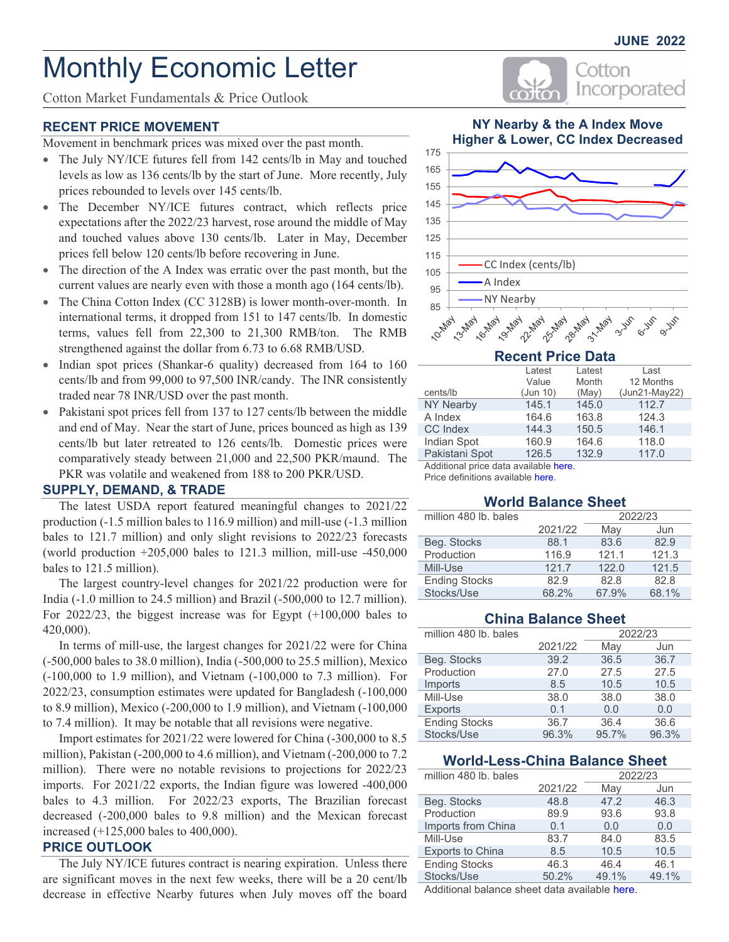Incorporated

Cotton

# Monthly Economic Letter

Cotton Market Fundamentals & Price Outlook

#### **RECENT PRICE MOVEMENT**

Movement in benchmark prices was mixed over the past month.

- The July NY/ICE futures fell from 142 cents/lb in May and touched levels as low as 136 cents/lb by the start of June. More recently, July prices rebounded to levels over 145 cents/lb.
- The December NY/ICE futures contract, which reflects price expectations after the 2022/23 harvest, rose around the middle of May and touched values above 130 cents/lb. Later in May, December prices fell below 120 cents/lb before recovering in June.
- The direction of the A Index was erratic over the past month, but the current values are nearly even with those a month ago (164 cents/lb).
- The China Cotton Index (CC 3128B) is lower month-over-month. In international terms, it dropped from 151 to 147 cents/lb. In domestic terms, values fell from 22,300 to 21,300 RMB/ton. The RMB strengthened against the dollar from 6.73 to 6.68 RMB/USD.
- Indian spot prices (Shankar-6 quality) decreased from 164 to 160 cents/lb and from 99,000 to 97,500 INR/candy. The INR consistently traded near 78 INR/USD over the past month.
- Pakistani spot prices fell from 137 to 127 cents/lb between the middle and end of May. Near the start of June, prices bounced as high as 139 cents/lb but later retreated to 126 cents/lb. Domestic prices were comparatively steady between 21,000 and 22,500 PKR/maund. The PKR was volatile and weakened from 188 to 200 PKR/USD.

#### **SUPPLY, DEMAND, & TRADE**

The latest USDA report featured meaningful changes to 2021/22 production (-1.5 million bales to 116.9 million) and mill-use (-1.3 million bales to 121.7 million) and only slight revisions to 2022/23 forecasts (world production  $+205,000$  bales to 121.3 million, mill-use  $-450,000$ bales to 121.5 million).

The largest country-level changes for 2021/22 production were for India (-1.0 million to 24.5 million) and Brazil (-500,000 to 12.7 million). For 2022/23, the biggest increase was for Egypt (+100,000 bales to 420,000).

In terms of mill-use, the largest changes for 2021/22 were for China (-500,000 bales to 38.0 million), India (-500,000 to 25.5 million), Mexico (-100,000 to 1.9 million), and Vietnam (-100,000 to 7.3 million). For 2022/23, consumption estimates were updated for Bangladesh (-100,000 to 8.9 million), Mexico (-200,000 to 1.9 million), and Vietnam (-100,000 to 7.4 million). It may be notable that all revisions were negative.

Import estimates for 2021/22 were lowered for China (-300,000 to 8.5 million), Pakistan (-200,000 to 4.6 million), and Vietnam (-200,000 to 7.2 million). There were no notable revisions to projections for 2022/23 imports. For 2021/22 exports, the Indian figure was lowered -400,000 bales to 4.3 million. For 2022/23 exports, The Brazilian forecast decreased (-200,000 bales to 9.8 million) and the Mexican forecast increased (+125,000 bales to 400,000).

#### **PRICE OUTLOOK**

The July NY/ICE futures contract is nearing expiration. Unless there are significant moves in the next few weeks, there will be a 20 cent/lb decrease in effective Nearby futures when July moves off the board



|                  | Latest   | Latest | Last          |
|------------------|----------|--------|---------------|
|                  | Value    | Month  | 12 Months     |
| cents/lb         | (Jun 10) | (Mav)  | (Jun21-May22) |
| <b>NY Nearby</b> | 145.1    | 145.0  | 112.7         |
| A Index          | 164.6    | 163.8  | 124.3         |
| <b>CC</b> Index  | 144.3    | 150.5  | 146.1         |
| Indian Spot      | 160.9    | 164.6  | 118.0         |
| Pakistani Spot   | 126.5    | 132.9  | 117.0         |

Additional price data [available here.](#page-2-0)

Price definitions [available here.](https://www.cottoninc.com/market-data/monthly-economic-newsletter/)

#### **World Balance Sheet**

| million 480 lb. bales |         | 2022/23 |       |  |
|-----------------------|---------|---------|-------|--|
|                       | 2021/22 | May     | Jun   |  |
| Beg. Stocks           | 88.1    | 83.6    | 82.9  |  |
| Production            | 116.9   | 121.1   | 121.3 |  |
| Mill-Use              | 121.7   | 122.0   | 121.5 |  |
| <b>Ending Stocks</b>  | 82.9    | 82.8    | 82.8  |  |
| Stocks/Use            | 68.2%   | 67.9%   | 68.1% |  |

#### **China Balance Sheet**

| million 480 lb. bales |         | 2022/23 |       |  |
|-----------------------|---------|---------|-------|--|
|                       | 2021/22 | May     | Jun   |  |
| Beg. Stocks           | 39.2    | 36.5    | 36.7  |  |
| Production            | 27.0    | 27.5    | 27.5  |  |
| Imports               | 8.5     | 10.5    | 10.5  |  |
| Mill-Use              | 38.0    | 38.0    | 38.0  |  |
| <b>Exports</b>        | 0.1     | 0.0     | 0.0   |  |
| <b>Ending Stocks</b>  | 36.7    | 36.4    | 36.6  |  |
| Stocks/Use            | 96.3%   | 95.7%   | 96.3% |  |

#### **World-Less-China Balance Sheet**

| million 480 lb. bales   |         | 2022/23 |       |  |  |
|-------------------------|---------|---------|-------|--|--|
|                         | 2021/22 | May     | Jun   |  |  |
| Beg. Stocks             | 48.8    | 47.2    | 46.3  |  |  |
| Production              | 89.9    | 93.6    | 93.8  |  |  |
| Imports from China      | 0.1     | 0.0     | 0.0   |  |  |
| Mill-Use                | 83.7    | 84.0    | 83.5  |  |  |
| <b>Exports to China</b> | 8.5     | 10.5    | 10.5  |  |  |
| <b>Ending Stocks</b>    | 46.3    | 46.4    | 46.1  |  |  |
| Stocks/Use              | 50.2%   | 49.1%   | 49.1% |  |  |

Additional balance sheet data available here.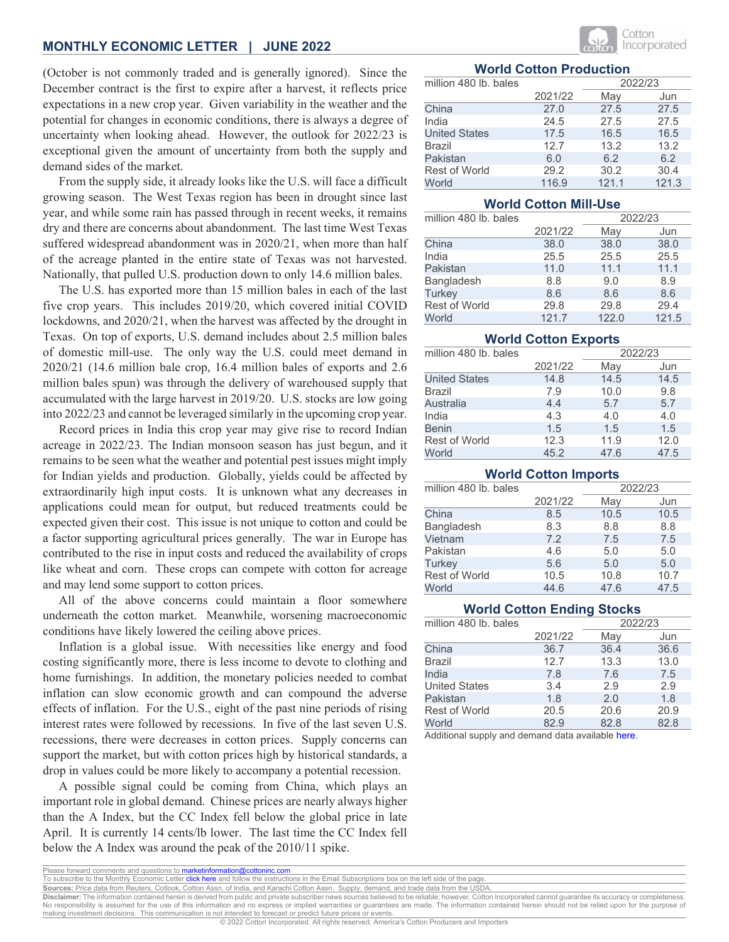#### **MONTHLY ECONOMIC LETTER | JUNE 2022**

(October is not commonly traded and is generally ignored). Since the December contract is the first to expire after a harvest, it reflects price expectations in a new crop year. Given variability in the weather and the potential for changes in economic conditions, there is always a degree of uncertainty when looking ahead. However, the outlook for 2022/23 is exceptional given the amount of uncertainty from both the supply and demand sides of the market.

From the supply side, it already looks like the U.S. will face a difficult growing season. The West Texas region has been in drought since last year, and while some rain has passed through in recent weeks, it remains dry and there are concerns about abandonment. The last time West Texas suffered widespread abandonment was in 2020/21, when more than half of the acreage planted in the entire state of Texas was not harvested. Nationally, that pulled U.S. production down to only 14.6 million bales.

The U.S. has exported more than 15 million bales in each of the last five crop years. This includes 2019/20, which covered initial COVID lockdowns, and 2020/21, when the harvest was affected by the drought in Texas. On top of exports, U.S. demand includes about 2.5 million bales of domestic mill-use. The only way the U.S. could meet demand in 2020/21 (14.6 million bale crop, 16.4 million bales of exports and 2.6 million bales spun) was through the delivery of warehoused supply that accumulated with the large harvest in 2019/20. U.S. stocks are low going into 2022/23 and cannot be leveraged similarly in the upcoming crop year.

Record prices in India this crop year may give rise to record Indian acreage in 2022/23. The Indian monsoon season has just begun, and it remains to be seen what the weather and potential pest issues might imply for Indian yields and production. Globally, yields could be affected by extraordinarily high input costs. It is unknown what any decreases in applications could mean for output, but reduced treatments could be expected given their cost. This issue is not unique to cotton and could be a factor supporting agricultural prices generally. The war in Europe has contributed to the rise in input costs and reduced the availability of crops like wheat and corn. These crops can compete with cotton for acreage and may lend some support to cotton prices.

All of the above concerns could maintain a floor somewhere underneath the cotton market. Meanwhile, worsening macroeconomic conditions have likely lowered the ceiling above prices.

Inflation is a global issue. With necessities like energy and food costing significantly more, there is less income to devote to clothing and home furnishings. In addition, the monetary policies needed to combat inflation can slow economic growth and can compound the adverse effects of inflation. For the U.S., eight of the past nine periods of rising interest rates were followed by recessions. In five of the last seven U.S. recessions, there were decreases in cotton prices. Supply concerns can support the market, but with cotton prices high by historical standards, a drop in values could be more likely to accompany a potential recession.

A possible signal could be coming from China, which plays an important role in global demand. Chinese prices are nearly always higher than the A Index, but the CC Index fell below the global price in late April. It is currently 14 cents/lb lower. The last time the CC Index fell below the A Index was around the peak of the 2010/11 spike.



#### **World Cotton Production**

| million 480 lb. bales |         | 2022/23 |       |  |
|-----------------------|---------|---------|-------|--|
|                       | 2021/22 | May     | Jun   |  |
| China                 | 27.0    | 27.5    | 27.5  |  |
| India                 | 24.5    | 27.5    | 27.5  |  |
| <b>United States</b>  | 17.5    | 16.5    | 16.5  |  |
| <b>Brazil</b>         | 12.7    | 13.2    | 13.2  |  |
| Pakistan              | 6.0     | 6.2     | 6.2   |  |
| <b>Rest of World</b>  | 29.2    | 30.2    | 30.4  |  |
| World                 | 116.9   | 121.1   | 121.3 |  |

#### **World Cotton Mill-Use**

| million 480 lb. bales |         | 2022/23 |       |
|-----------------------|---------|---------|-------|
|                       | 2021/22 | May     | Jun   |
| China                 | 38.0    | 38.0    | 38.0  |
| India                 | 25.5    | 25.5    | 25.5  |
| Pakistan              | 11.0    | 11.1    | 11.1  |
| Bangladesh            | 8.8     | 9.0     | 8.9   |
| <b>Turkey</b>         | 8.6     | 8.6     | 8.6   |
| <b>Rest of World</b>  | 29.8    | 29.8    | 29.4  |
| World                 | 121.7   | 122.0   | 121.5 |

#### **World Cotton Exports**

| million 480 lb. bales |         |      | 2022/23 |
|-----------------------|---------|------|---------|
|                       | 2021/22 | May  | Jun     |
| <b>United States</b>  | 14.8    | 14.5 | 14.5    |
| <b>Brazil</b>         | 7.9     | 10.0 | 9.8     |
| Australia             | 4.4     | 5.7  | 5.7     |
| India                 | 4.3     | 4.0  | 4.0     |
| <b>Benin</b>          | 1.5     | 1.5  | 1.5     |
| <b>Rest of World</b>  | 12.3    | 11.9 | 12.0    |
| World                 | 45.2    | 47.6 | 47.5    |

#### **World Cotton Imports**

| million 480 lb. bales |         | 2022/23 |      |  |
|-----------------------|---------|---------|------|--|
|                       | 2021/22 | May     | Jun  |  |
| China                 | 8.5     | 10.5    | 10.5 |  |
| Bangladesh            | 8.3     | 8.8     | 8.8  |  |
| Vietnam               | 7.2     | 7.5     | 7.5  |  |
| Pakistan              | 4.6     | 5.0     | 5.0  |  |
| <b>Turkey</b>         | 5.6     | 5.0     | 5.0  |  |
| <b>Rest of World</b>  | 10.5    | 10.8    | 10.7 |  |
| World                 | 44.6    | 47.6    | 47.5 |  |

#### **World Cotton Ending Stocks**

| million 480 lb. bales |         |      | 2022/23 |
|-----------------------|---------|------|---------|
|                       | 2021/22 | May  | Jun     |
| China                 | 36.7    | 36.4 | 36.6    |
| <b>Brazil</b>         | 12.7    | 13.3 | 13.0    |
| India                 | 7.8     | 7.6  | 7.5     |
| <b>United States</b>  | 3.4     | 2.9  | 2.9     |
| Pakistan              | 1.8     | 2.0  | 1.8     |
| <b>Rest of World</b>  | 20.5    | 20.6 | 20.9    |
| World                 | 82.9    | 82.8 | 82.8    |

Additional supply and demand data available [here.](#page-8-0)

Please forward comments and questions to <mark>marketinformation@cottoninc.com</mark><br>To subscribe to the Monthly Economic Letter <mark>click here</mark> and follow the instructi

To subscribe to the Monthly Economic Letter [click here and](https://www.cottoninc.com/market-data/monthly-economic-newsletter/) follow the instructions in the Email Subscriptions box on the left side of the page.<br>Sources: Price data from Reuters, Cotlook, Cotton Assn. of India, and Karachi Assn. of India, and Karachi Cotton Assn. Supply, demand, and trade data from the USD/

**Disclaimer:** The information contained herein is derived from public and private subscriber news sources believed to be reliable; however, Cotton Incorporated cannot guarantee its accuracy or completeness.<br>No responsibili making investment decisions. This communication is not intended to forecast or predict future prices or events.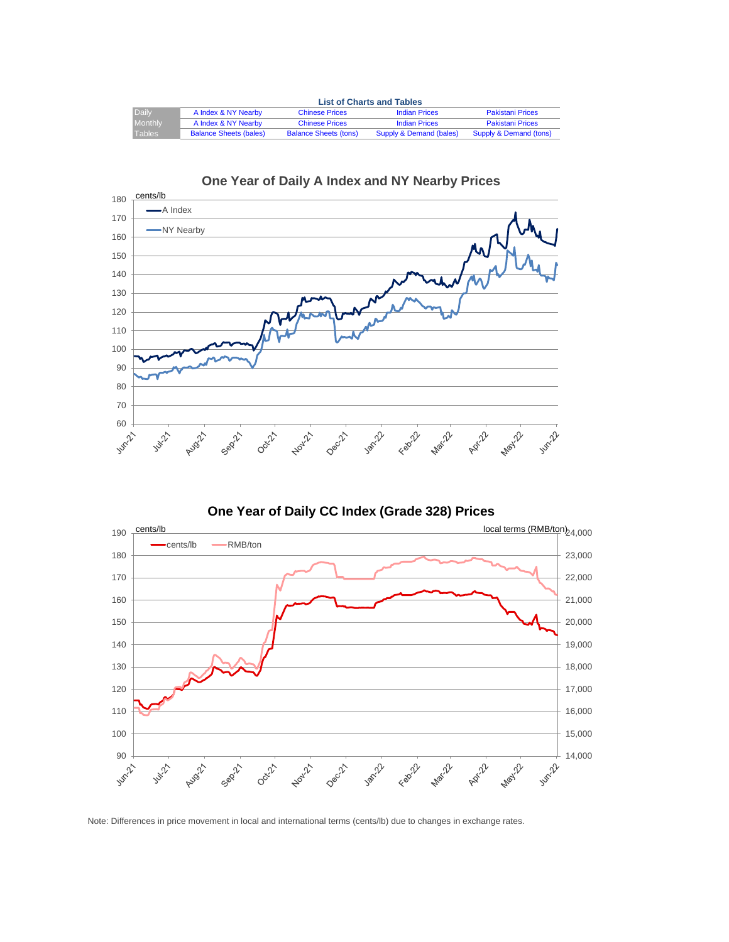<span id="page-2-0"></span>

| <b>Daily</b>  | A Index & NY Nearby           | <b>Chinese Prices</b>        | <b>Indian Prices</b>    | <b>Pakistani Prices</b> |
|---------------|-------------------------------|------------------------------|-------------------------|-------------------------|
| Monthly       | A Index & NY Nearby           | <b>Chinese Prices</b>        | <b>Indian Prices</b>    | <b>Pakistani Prices</b> |
| <b>Tables</b> | <b>Balance Sheets (bales)</b> | <b>Balance Sheets (tons)</b> | Supply & Demand (bales) | Supply & Demand (tons)  |

### **List of Charts and Tables**





### **One Year of Daily A Index and NY Nearby Prices**

## **One Year of Daily CC Index (Grade 328) Prices**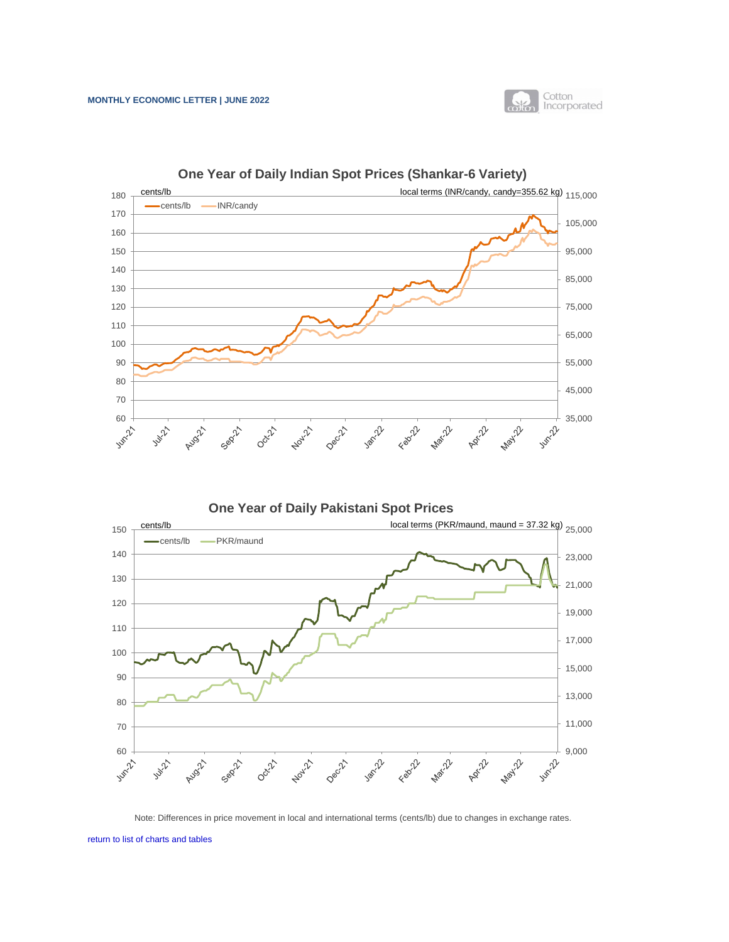

[return to list of charts and tables](#page-2-0)



<span id="page-3-0"></span>

### **One Year of Daily Indian Spot Prices (Shankar-6 Variety)**

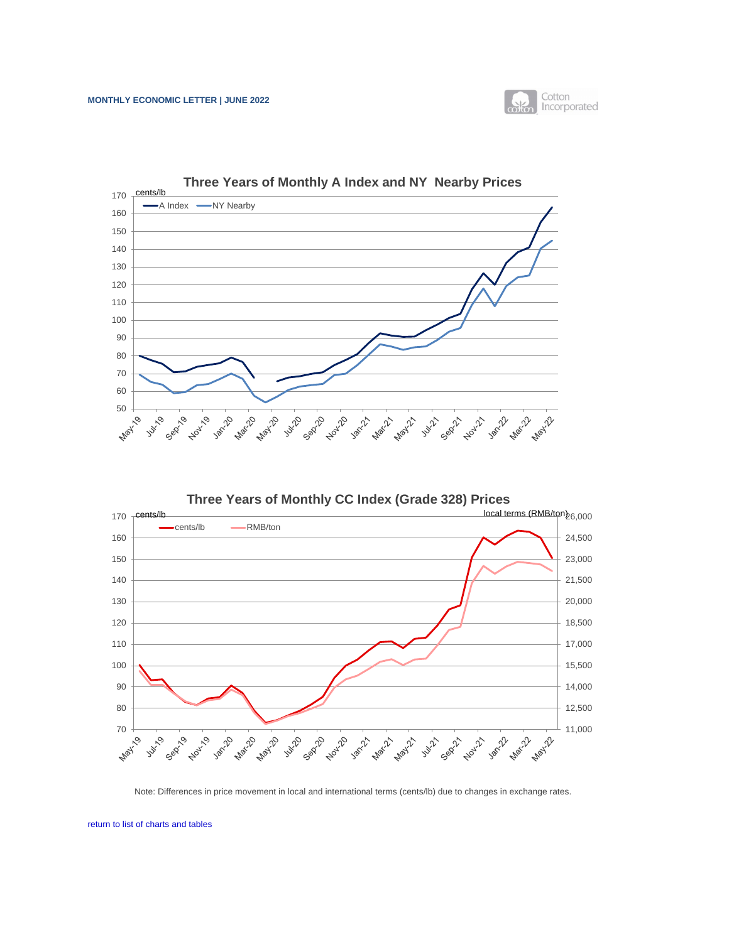

[return to list of charts and tables](#page-2-0)





<span id="page-4-0"></span>

### **Three Years of Monthly A Index and NY Nearby Prices**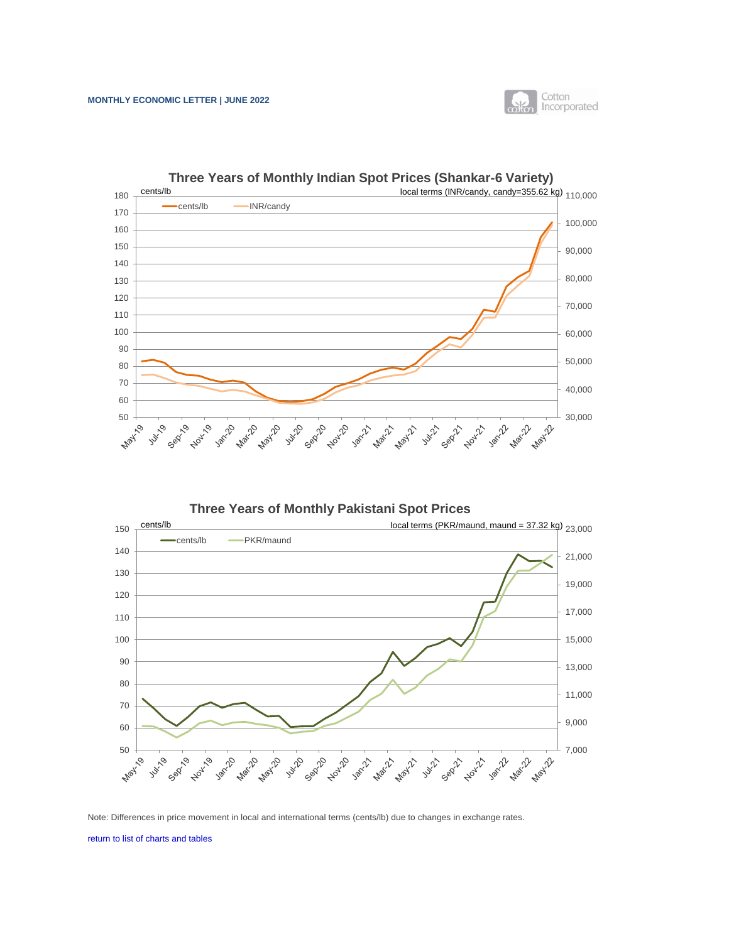[return to list of charts and tables](#page-2-0)

<span id="page-5-0"></span>

**Three Years of Monthly Pakistani Spot Prices**

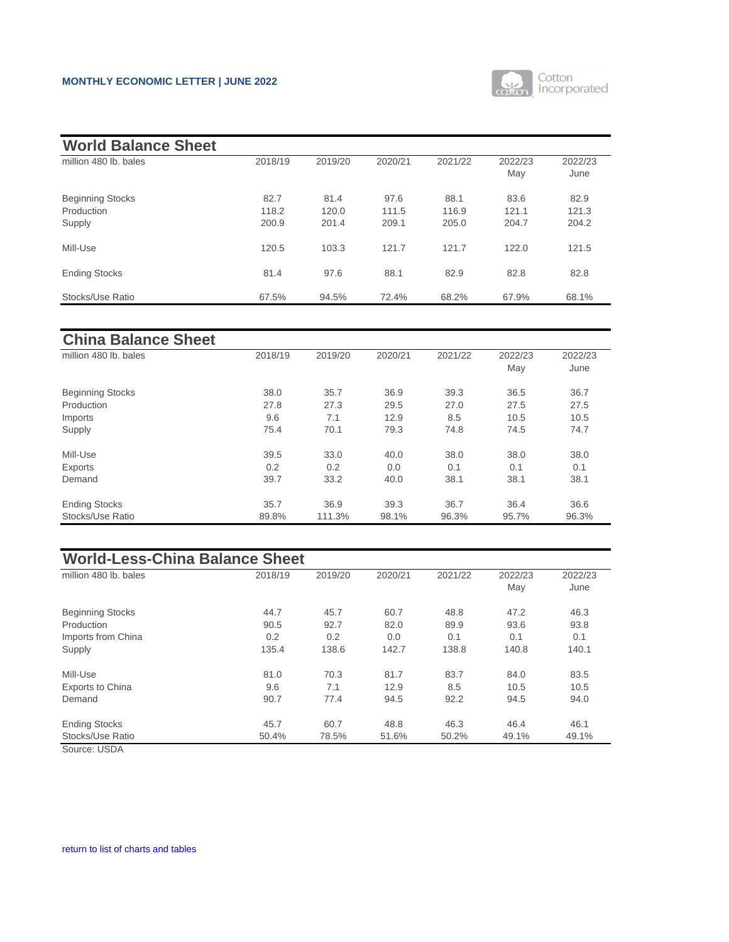### <span id="page-6-0"></span>**MONTHLY ECONOMIC LETTER | JUNE 2022**



| <b>World Balance Sheet</b>            |                        |                        |                        |                        |                        |                 |
|---------------------------------------|------------------------|------------------------|------------------------|------------------------|------------------------|-----------------|
| million 480 lb. bales                 | 2018/19                | 2019/20                | 2020/21                | 2021/22                | 2022/23<br>May         | 2022/23<br>June |
| <b>Beginning Stocks</b><br>Production | 82.7<br>118.2<br>200.9 | 81.4<br>120.0<br>201.4 | 97.6<br>111.5<br>209.1 | 88.1<br>116.9<br>205.0 | 83.6<br>121.1<br>204.7 | 82.9<br>121.3   |
| Supply<br>Mill-Use                    | 120.5                  | 103.3                  | 121.7                  | 121.7                  | 122.0                  | 204.2<br>121.5  |
| <b>Ending Stocks</b>                  | 81.4                   | 97.6                   | 88.1                   | 82.9                   | 82.8                   | 82.8            |
| Stocks/Use Ratio                      | 67.5%                  | 94.5%                  | 72.4%                  | 68.2%                  | 67.9%                  | 68.1%           |

| <b>China Balance Sheet</b> |         |         |         |         |         |         |
|----------------------------|---------|---------|---------|---------|---------|---------|
| million 480 lb. bales      | 2018/19 | 2019/20 | 2020/21 | 2021/22 | 2022/23 | 2022/23 |
|                            |         |         |         |         | May     | June    |
| <b>Beginning Stocks</b>    | 38.0    | 35.7    | 36.9    | 39.3    | 36.5    | 36.7    |
| Production                 | 27.8    | 27.3    | 29.5    | 27.0    | 27.5    | 27.5    |
| Imports                    | 9.6     | 7.1     | 12.9    | 8.5     | 10.5    | 10.5    |
| Supply                     | 75.4    | 70.1    | 79.3    | 74.8    | 74.5    | 74.7    |
| Mill-Use                   | 39.5    | 33.0    | 40.0    | 38.0    | 38.0    | 38.0    |
| <b>Exports</b>             | 0.2     | 0.2     | 0.0     | 0.1     | 0.1     | 0.1     |
| Demand                     | 39.7    | 33.2    | 40.0    | 38.1    | 38.1    | 38.1    |
| <b>Ending Stocks</b>       | 35.7    | 36.9    | 39.3    | 36.7    | 36.4    | 36.6    |
| <b>Stocks/Use Ratio</b>    | 89.8%   | 111.3%  | 98.1%   | 96.3%   | 95.7%   | 96.3%   |

| <b>World-Less-China Balance Sheet</b> |         |         |         |         |                |                 |  |  |  |
|---------------------------------------|---------|---------|---------|---------|----------------|-----------------|--|--|--|
| million 480 lb. bales                 | 2018/19 | 2019/20 | 2020/21 | 2021/22 | 2022/23<br>May | 2022/23<br>June |  |  |  |
| <b>Beginning Stocks</b>               | 44.7    | 45.7    | 60.7    | 48.8    | 47.2           | 46.3            |  |  |  |
| Production                            | 90.5    | 92.7    | 82.0    | 89.9    | 93.6           | 93.8            |  |  |  |
| Imports from China                    | 0.2     | 0.2     | 0.0     | 0.1     | 0.1            | 0.1             |  |  |  |
| Supply                                | 135.4   | 138.6   | 142.7   | 138.8   | 140.8          | 140.1           |  |  |  |
| Mill-Use                              | 81.0    | 70.3    | 81.7    | 83.7    | 84.0           | 83.5            |  |  |  |
| <b>Exports to China</b>               | 9.6     | 7.1     | 12.9    | 8.5     | 10.5           | 10.5            |  |  |  |
| Demand                                | 90.7    | 77.4    | 94.5    | 92.2    | 94.5           | 94.0            |  |  |  |
| <b>Ending Stocks</b>                  | 45.7    | 60.7    | 48.8    | 46.3    | 46.4           | 46.1            |  |  |  |
| Stocks/Use Ratio                      | 50.4%   | 78.5%   | 51.6%   | 50.2%   | 49.1%          | 49.1%           |  |  |  |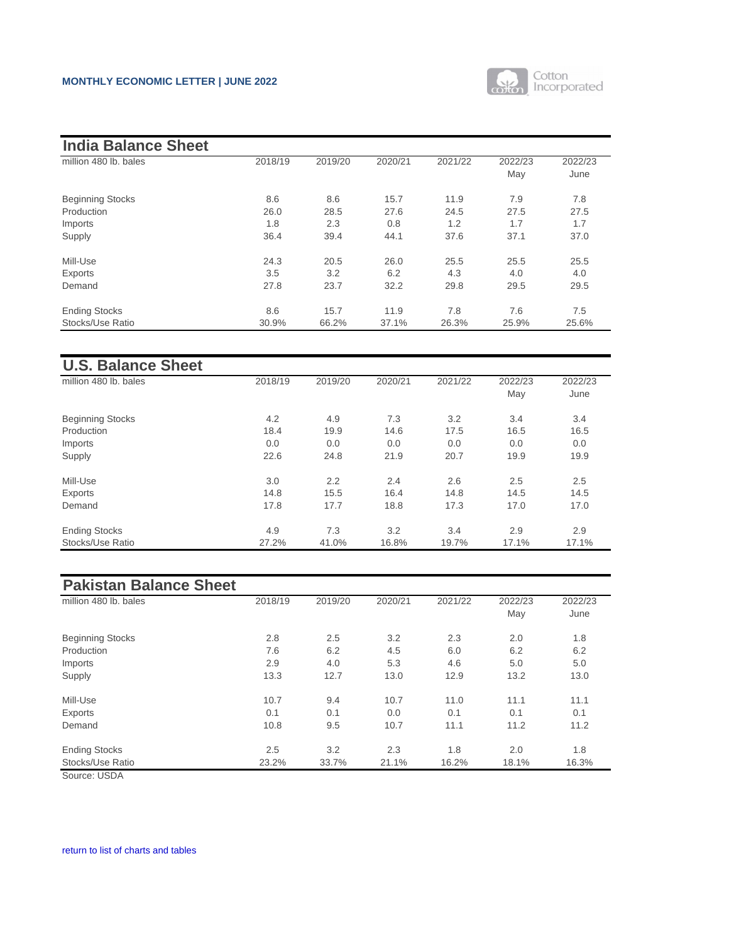

| <b>India Balance Sheet</b> |         |         |         |         |         |         |
|----------------------------|---------|---------|---------|---------|---------|---------|
| million 480 lb. bales      | 2018/19 | 2019/20 | 2020/21 | 2021/22 | 2022/23 | 2022/23 |
|                            |         |         |         |         | May     | June    |
| <b>Beginning Stocks</b>    | 8.6     | 8.6     | 15.7    | 11.9    | 7.9     | 7.8     |
| Production                 | 26.0    | 28.5    | 27.6    | 24.5    | 27.5    | 27.5    |
| Imports                    | 1.8     | 2.3     | 0.8     | 1.2     | 1.7     | 1.7     |
| Supply                     | 36.4    | 39.4    | 44.1    | 37.6    | 37.1    | 37.0    |
| Mill-Use                   | 24.3    | 20.5    | 26.0    | 25.5    | 25.5    | 25.5    |
| <b>Exports</b>             | 3.5     | 3.2     | 6.2     | 4.3     | 4.0     | 4.0     |
| Demand                     | 27.8    | 23.7    | 32.2    | 29.8    | 29.5    | 29.5    |
| <b>Ending Stocks</b>       | 8.6     | 15.7    | 11.9    | 7.8     | 7.6     | 7.5     |
| <b>Stocks/Use Ratio</b>    | 30.9%   | 66.2%   | 37.1%   | 26.3%   | 25.9%   | 25.6%   |

| <b>U.S. Balance Sheet</b> |         |         |         |         |                |                 |
|---------------------------|---------|---------|---------|---------|----------------|-----------------|
| million 480 lb. bales     | 2018/19 | 2019/20 | 2020/21 | 2021/22 | 2022/23<br>May | 2022/23<br>June |
| <b>Beginning Stocks</b>   | 4.2     | 4.9     | 7.3     | 3.2     | 3.4            | 3.4             |
| Production                | 18.4    | 19.9    | 14.6    | 17.5    | 16.5           | 16.5            |
| Imports                   | 0.0     | 0.0     | 0.0     | 0.0     | 0.0            | 0.0             |
| Supply                    | 22.6    | 24.8    | 21.9    | 20.7    | 19.9           | 19.9            |
| Mill-Use                  | 3.0     | 2.2     | 2.4     | 2.6     | 2.5            | 2.5             |
| <b>Exports</b>            | 14.8    | 15.5    | 16.4    | 14.8    | 14.5           | 14.5            |
| Demand                    | 17.8    | 17.7    | 18.8    | 17.3    | 17.0           | 17.0            |
| <b>Ending Stocks</b>      | 4.9     | 7.3     | 3.2     | 3.4     | 2.9            | 2.9             |
| Stocks/Use Ratio          | 27.2%   | 41.0%   | 16.8%   | 19.7%   | 17.1%          | 17.1%           |

| <b>Pakistan Balance Sheet</b> |         |         |         |         |                |                 |
|-------------------------------|---------|---------|---------|---------|----------------|-----------------|
| million 480 lb. bales         | 2018/19 | 2019/20 | 2020/21 | 2021/22 | 2022/23<br>May | 2022/23<br>June |
| <b>Beginning Stocks</b>       | 2.8     | 2.5     | 3.2     | 2.3     | 2.0            | 1.8             |
| Production                    | 7.6     | 6.2     | 4.5     | 6.0     | 6.2            | 6.2             |
| Imports                       | 2.9     | 4.0     | 5.3     | 4.6     | 5.0            | 5.0             |
| Supply                        | 13.3    | 12.7    | 13.0    | 12.9    | 13.2           | 13.0            |
| Mill-Use                      | 10.7    | 9.4     | 10.7    | 11.0    | 11.1           | 11.1            |
| Exports                       | 0.1     | 0.1     | 0.0     | 0.1     | 0.1            | 0.1             |
| Demand                        | 10.8    | 9.5     | 10.7    | 11.1    | 11.2           | 11.2            |
| <b>Ending Stocks</b>          | 2.5     | 3.2     | 2.3     | 1.8     | 2.0            | 1.8             |
| Stocks/Use Ratio              | 23.2%   | 33.7%   | 21.1%   | 16.2%   | 18.1%          | 16.3%           |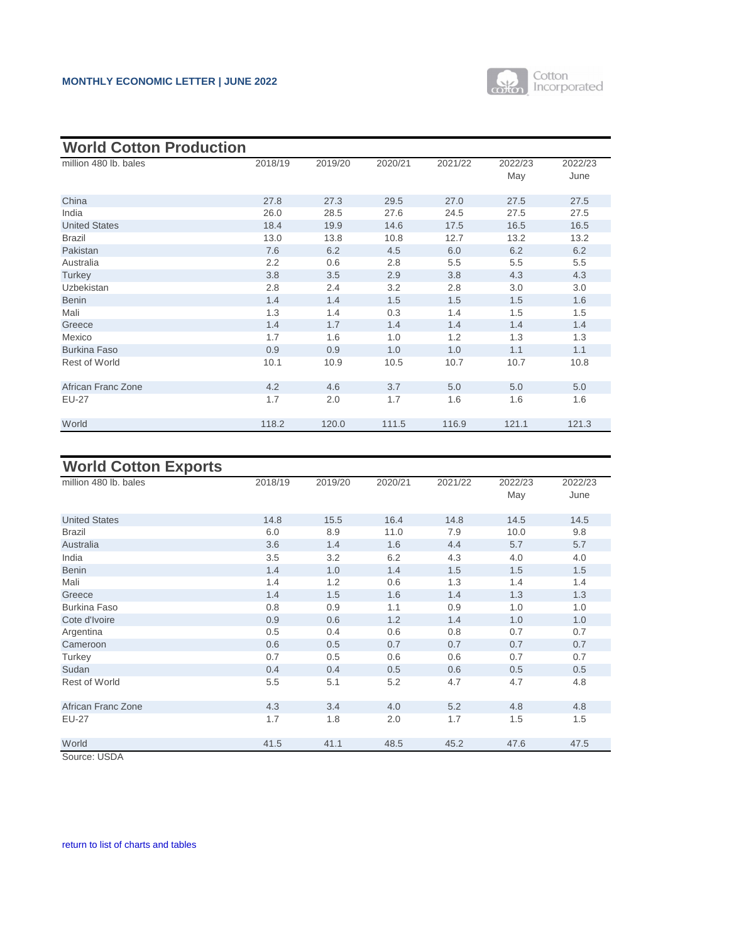

<span id="page-8-0"></span>

| <b>World Cotton Production</b> |         |         |         |         |         |         |
|--------------------------------|---------|---------|---------|---------|---------|---------|
| million 480 lb. bales          | 2018/19 | 2019/20 | 2020/21 | 2021/22 | 2022/23 | 2022/23 |
|                                |         |         |         |         | May     | June    |
| China                          | 27.8    | 27.3    | 29.5    | 27.0    | 27.5    | 27.5    |
| India                          | 26.0    | 28.5    | 27.6    | 24.5    | 27.5    | 27.5    |
| <b>United States</b>           | 18.4    | 19.9    | 14.6    | 17.5    | 16.5    | 16.5    |
| <b>Brazil</b>                  | 13.0    | 13.8    | 10.8    | 12.7    | 13.2    | 13.2    |
| Pakistan                       | 7.6     | 6.2     | 4.5     | 6.0     | 6.2     | 6.2     |
| Australia                      | 2.2     | 0.6     | 2.8     | 5.5     | 5.5     | 5.5     |
| <b>Turkey</b>                  | 3.8     | 3.5     | 2.9     | 3.8     | 4.3     | 4.3     |
| Uzbekistan                     | 2.8     | 2.4     | 3.2     | 2.8     | 3.0     | 3.0     |
| <b>Benin</b>                   | 1.4     | 1.4     | 1.5     | 1.5     | 1.5     | 1.6     |
| Mali                           | 1.3     | 1.4     | 0.3     | 1.4     | 1.5     | 1.5     |
| Greece                         | 1.4     | 1.7     | 1.4     | 1.4     | 1.4     | 1.4     |
| Mexico                         | 1.7     | 1.6     | 1.0     | 1.2     | 1.3     | 1.3     |
| <b>Burkina Faso</b>            | 0.9     | 0.9     | 1.0     | 1.0     | 1.1     | 1.1     |
| <b>Rest of World</b>           | 10.1    | 10.9    | 10.5    | 10.7    | 10.7    | 10.8    |
| <b>African Franc Zone</b>      | 4.2     | 4.6     | 3.7     | 5.0     | 5.0     | 5.0     |
| <b>EU-27</b>                   | 1.7     | 2.0     | 1.7     | 1.6     | 1.6     | 1.6     |
| World                          | 118.2   | 120.0   | 111.5   | 116.9   | 121.1   | 121.3   |

### **World Cotton Exports**

| -p - - - -<br>million 480 lb. bales | 2018/19 | 2019/20 | 2020/21 | 2021/22 | 2022/23 | 2022/23 |
|-------------------------------------|---------|---------|---------|---------|---------|---------|
|                                     |         |         |         |         | May     | June    |
|                                     |         |         |         |         |         |         |
| <b>United States</b>                | 14.8    | 15.5    | 16.4    | 14.8    | 14.5    | 14.5    |
| <b>Brazil</b>                       | 6.0     | 8.9     | 11.0    | 7.9     | 10.0    | 9.8     |
| Australia                           | 3.6     | 1.4     | 1.6     | 4.4     | 5.7     | 5.7     |
| India                               | 3.5     | 3.2     | 6.2     | 4.3     | 4.0     | 4.0     |
| <b>Benin</b>                        | 1.4     | 1.0     | 1.4     | 1.5     | 1.5     | 1.5     |
| Mali                                | 1.4     | 1.2     | 0.6     | 1.3     | 1.4     | 1.4     |
| Greece                              | 1.4     | 1.5     | 1.6     | 1.4     | 1.3     | 1.3     |
| <b>Burkina Faso</b>                 | 0.8     | 0.9     | 1.1     | 0.9     | 1.0     | 1.0     |
| Cote d'Ivoire                       | 0.9     | 0.6     | 1.2     | 1.4     | 1.0     | 1.0     |
| Argentina                           | 0.5     | 0.4     | 0.6     | 0.8     | 0.7     | 0.7     |
| Cameroon                            | 0.6     | 0.5     | 0.7     | 0.7     | 0.7     | 0.7     |
| Turkey                              | 0.7     | 0.5     | 0.6     | 0.6     | 0.7     | 0.7     |
| Sudan                               | 0.4     | 0.4     | 0.5     | 0.6     | 0.5     | 0.5     |
| <b>Rest of World</b>                | 5.5     | 5.1     | 5.2     | 4.7     | 4.7     | 4.8     |
|                                     |         |         |         |         |         |         |
| <b>African Franc Zone</b>           | 4.3     | 3.4     | 4.0     | 5.2     | 4.8     | 4.8     |
| <b>EU-27</b>                        | 1.7     | 1.8     | 2.0     | 1.7     | 1.5     | 1.5     |
|                                     |         |         |         |         |         |         |
| World                               | 41.5    | 41.1    | 48.5    | 45.2    | 47.6    | 47.5    |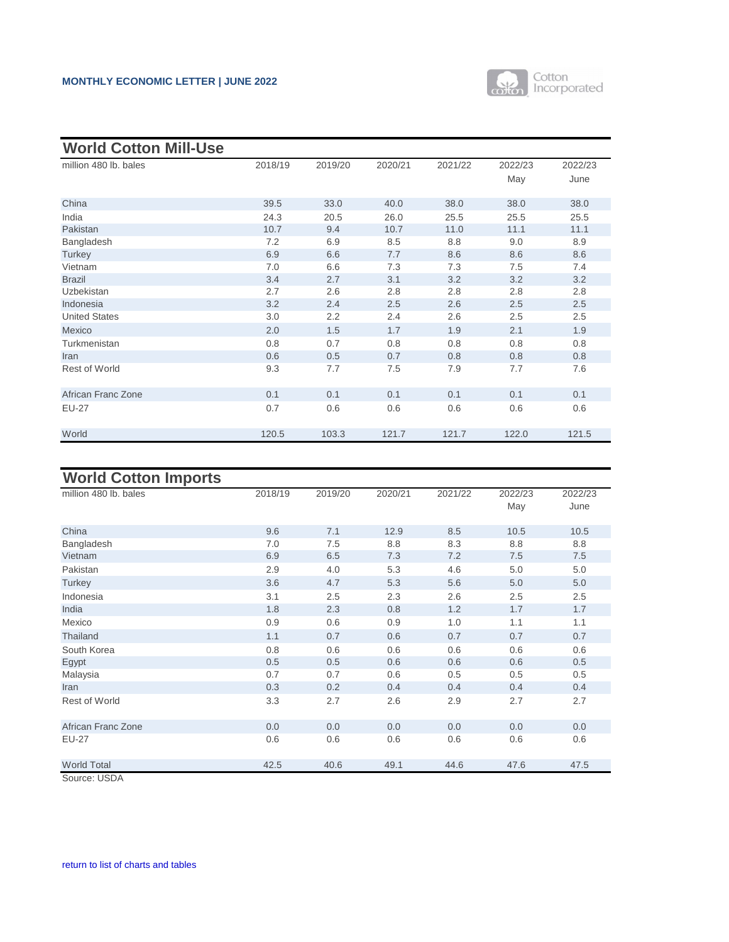

| <b>World Cotton Mill-Use</b> |         |         |         |         |         |         |
|------------------------------|---------|---------|---------|---------|---------|---------|
| million 480 lb. bales        | 2018/19 | 2019/20 | 2020/21 | 2021/22 | 2022/23 | 2022/23 |
|                              |         |         |         |         | May     | June    |
|                              |         |         |         |         |         |         |
| China                        | 39.5    | 33.0    | 40.0    | 38.0    | 38.0    | 38.0    |
| India                        | 24.3    | 20.5    | 26.0    | 25.5    | 25.5    | 25.5    |
| Pakistan                     | 10.7    | 9.4     | 10.7    | 11.0    | 11.1    | 11.1    |
| Bangladesh                   | 7.2     | 6.9     | 8.5     | 8.8     | 9.0     | 8.9     |
| <b>Turkey</b>                | 6.9     | 6.6     | 7.7     | 8.6     | 8.6     | 8.6     |
| Vietnam                      | 7.0     | 6.6     | 7.3     | 7.3     | 7.5     | 7.4     |
| <b>Brazil</b>                | 3.4     | 2.7     | 3.1     | 3.2     | 3.2     | 3.2     |
| <b>Uzbekistan</b>            | 2.7     | 2.6     | 2.8     | 2.8     | 2.8     | 2.8     |
| Indonesia                    | 3.2     | 2.4     | 2.5     | 2.6     | 2.5     | 2.5     |
| <b>United States</b>         | 3.0     | 2.2     | 2.4     | 2.6     | 2.5     | 2.5     |
| Mexico                       | 2.0     | 1.5     | 1.7     | 1.9     | 2.1     | 1.9     |
| Turkmenistan                 | 0.8     | 0.7     | 0.8     | 0.8     | 0.8     | 0.8     |
| Iran                         | 0.6     | 0.5     | 0.7     | 0.8     | 0.8     | 0.8     |
| <b>Rest of World</b>         | 9.3     | 7.7     | 7.5     | 7.9     | 7.7     | 7.6     |
|                              |         |         |         |         |         |         |
| <b>African Franc Zone</b>    | 0.1     | 0.1     | 0.1     | 0.1     | 0.1     | 0.1     |
| <b>EU-27</b>                 | 0.7     | 0.6     | 0.6     | 0.6     | 0.6     | 0.6     |
|                              |         |         |         |         |         |         |
| World                        | 120.5   | 103.3   | 121.7   | 121.7   | 122.0   | 121.5   |

### **World Cotton Imports**

| <u>ona ootton miporto</u> |         |         |         |         |                |                 |
|---------------------------|---------|---------|---------|---------|----------------|-----------------|
| million 480 lb. bales     | 2018/19 | 2019/20 | 2020/21 | 2021/22 | 2022/23<br>May | 2022/23<br>June |
| China                     | 9.6     | 7.1     | 12.9    | 8.5     | 10.5           | 10.5            |
| Bangladesh                | 7.0     | 7.5     | 8.8     | 8.3     | 8.8            | 8.8             |
| Vietnam                   | 6.9     | 6.5     | 7.3     | 7.2     | 7.5            | 7.5             |
| Pakistan                  | 2.9     | 4.0     | 5.3     | 4.6     | 5.0            | 5.0             |
| <b>Turkey</b>             | 3.6     | 4.7     | 5.3     | 5.6     | 5.0            | 5.0             |
| Indonesia                 | 3.1     | 2.5     | 2.3     | 2.6     | 2.5            | 2.5             |
| India                     | 1.8     | 2.3     | 0.8     | 1.2     | 1.7            | 1.7             |
| Mexico                    | 0.9     | 0.6     | 0.9     | 1.0     | 1.1            | 1.1             |
| Thailand                  | 1.1     | 0.7     | 0.6     | 0.7     | 0.7            | 0.7             |
| South Korea               | 0.8     | 0.6     | 0.6     | 0.6     | 0.6            | 0.6             |
| Egypt                     | 0.5     | 0.5     | 0.6     | 0.6     | 0.6            | 0.5             |
| Malaysia                  | 0.7     | 0.7     | 0.6     | 0.5     | 0.5            | 0.5             |
| Iran                      | 0.3     | 0.2     | 0.4     | 0.4     | 0.4            | 0.4             |
| <b>Rest of World</b>      | 3.3     | 2.7     | 2.6     | 2.9     | 2.7            | 2.7             |
| <b>African Franc Zone</b> | 0.0     | 0.0     | 0.0     | 0.0     | 0.0            | 0.0             |
| <b>EU-27</b>              | 0.6     | 0.6     | 0.6     | 0.6     | 0.6            | 0.6             |
| <b>World Total</b>        | 42.5    | 40.6    | 49.1    | 44.6    | 47.6           | 47.5            |
| Source: USDA              |         |         |         |         |                |                 |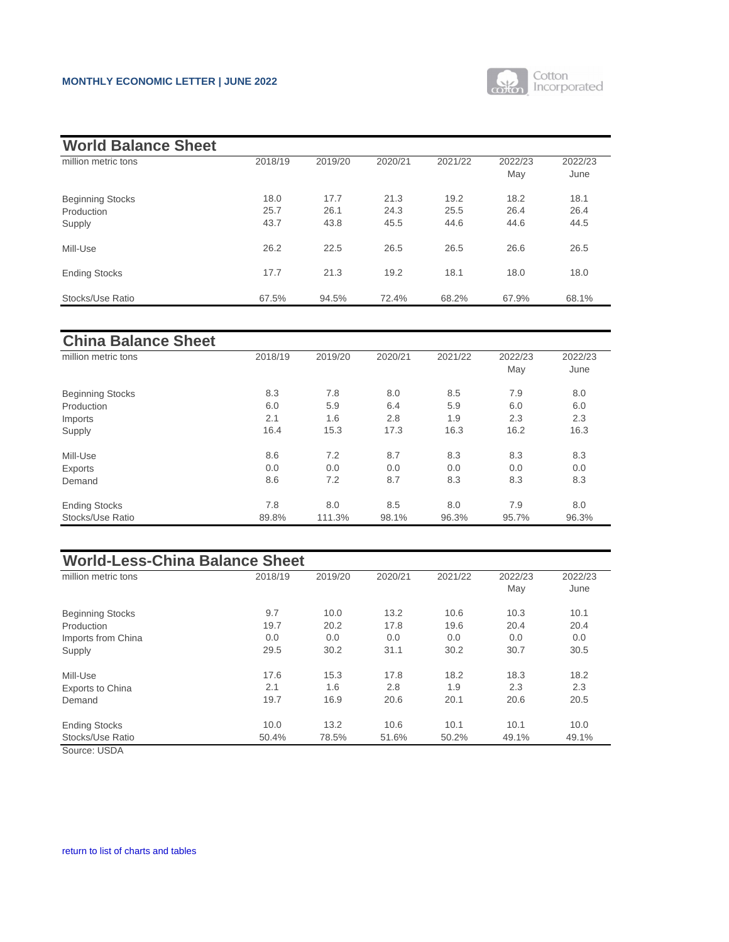### <span id="page-10-0"></span>**MONTHLY ECONOMIC LETTER | JUNE 2022**



| <b>World Balance Sheet</b>                      |                      |                      |                      |                      |                      |                      |
|-------------------------------------------------|----------------------|----------------------|----------------------|----------------------|----------------------|----------------------|
| million metric tons                             | 2018/19              | 2019/20              | 2020/21              | 2021/22              | 2022/23<br>May       | 2022/23<br>June      |
| <b>Beginning Stocks</b><br>Production<br>Supply | 18.0<br>25.7<br>43.7 | 17.7<br>26.1<br>43.8 | 21.3<br>24.3<br>45.5 | 19.2<br>25.5<br>44.6 | 18.2<br>26.4<br>44.6 | 18.1<br>26.4<br>44.5 |
| Mill-Use                                        | 26.2                 | 22.5                 | 26.5                 | 26.5                 | 26.6                 | 26.5                 |
| <b>Ending Stocks</b>                            | 17.7                 | 21.3                 | 19.2                 | 18.1                 | 18.0                 | 18.0                 |
| Stocks/Use Ratio                                | 67.5%                | 94.5%                | 72.4%                | 68.2%                | 67.9%                | 68.1%                |

| <b>China Balance Sheet</b> |         |         |         |         |         |         |
|----------------------------|---------|---------|---------|---------|---------|---------|
| million metric tons        | 2018/19 | 2019/20 | 2020/21 | 2021/22 | 2022/23 | 2022/23 |
|                            |         |         |         |         | May     | June    |
| <b>Beginning Stocks</b>    | 8.3     | 7.8     | 8.0     | 8.5     | 7.9     | 8.0     |
| Production                 | 6.0     | 5.9     | 6.4     | 5.9     | 6.0     | 6.0     |
| Imports                    | 2.1     | 1.6     | 2.8     | 1.9     | 2.3     | 2.3     |
| Supply                     | 16.4    | 15.3    | 17.3    | 16.3    | 16.2    | 16.3    |
| Mill-Use                   | 8.6     | 7.2     | 8.7     | 8.3     | 8.3     | 8.3     |
| <b>Exports</b>             | 0.0     | 0.0     | 0.0     | 0.0     | 0.0     | 0.0     |
| Demand                     | 8.6     | 7.2     | 8.7     | 8.3     | 8.3     | 8.3     |
| <b>Ending Stocks</b>       | 7.8     | 8.0     | 8.5     | 8.0     | 7.9     | 8.0     |
| Stocks/Use Ratio           | 89.8%   | 111.3%  | 98.1%   | 96.3%   | 95.7%   | 96.3%   |

|                         | <b>World-Less-China Balance Sheet</b> |         |         |         |                |                 |  |  |  |  |
|-------------------------|---------------------------------------|---------|---------|---------|----------------|-----------------|--|--|--|--|
| million metric tons     | 2018/19                               | 2019/20 | 2020/21 | 2021/22 | 2022/23<br>May | 2022/23<br>June |  |  |  |  |
| <b>Beginning Stocks</b> | 9.7                                   | 10.0    | 13.2    | 10.6    | 10.3           | 10.1            |  |  |  |  |
| Production              | 19.7                                  | 20.2    | 17.8    | 19.6    | 20.4           | 20.4            |  |  |  |  |
| Imports from China      | 0.0                                   | 0.0     | 0.0     | 0.0     | 0.0            | 0.0             |  |  |  |  |
| Supply                  | 29.5                                  | 30.2    | 31.1    | 30.2    | 30.7           | 30.5            |  |  |  |  |
| Mill-Use                | 17.6                                  | 15.3    | 17.8    | 18.2    | 18.3           | 18.2            |  |  |  |  |
| <b>Exports to China</b> | 2.1                                   | 1.6     | 2.8     | 1.9     | 2.3            | 2.3             |  |  |  |  |
| Demand                  | 19.7                                  | 16.9    | 20.6    | 20.1    | 20.6           | 20.5            |  |  |  |  |
| <b>Ending Stocks</b>    | 10.0                                  | 13.2    | 10.6    | 10.1    | 10.1           | 10.0            |  |  |  |  |
| <b>Stocks/Use Ratio</b> | 50.4%                                 | 78.5%   | 51.6%   | 50.2%   | 49.1%          | 49.1%           |  |  |  |  |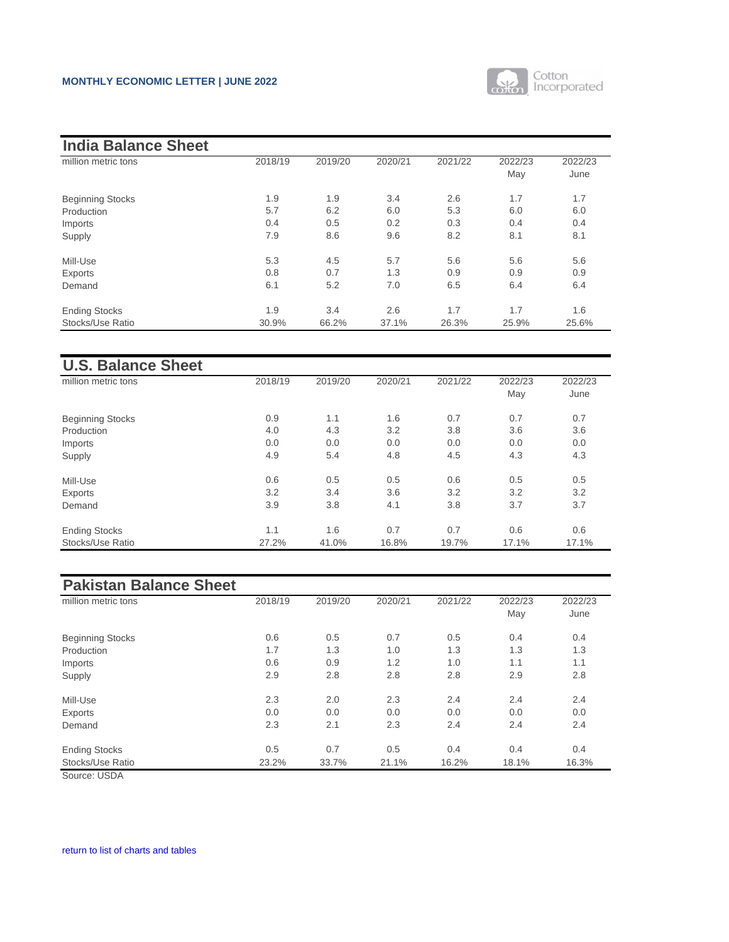

| <b>India Balance Sheet</b> |         |         |         |         |         |         |
|----------------------------|---------|---------|---------|---------|---------|---------|
| million metric tons        | 2018/19 | 2019/20 | 2020/21 | 2021/22 | 2022/23 | 2022/23 |
|                            |         |         |         |         | May     | June    |
| <b>Beginning Stocks</b>    | 1.9     | 1.9     | 3.4     | 2.6     | 1.7     | 1.7     |
| Production                 | 5.7     | 6.2     | 6.0     | 5.3     | 6.0     | 6.0     |
| Imports                    | 0.4     | 0.5     | 0.2     | 0.3     | 0.4     | 0.4     |
| Supply                     | 7.9     | 8.6     | 9.6     | 8.2     | 8.1     | 8.1     |
| Mill-Use                   | 5.3     | 4.5     | 5.7     | 5.6     | 5.6     | 5.6     |
| <b>Exports</b>             | 0.8     | 0.7     | 1.3     | 0.9     | 0.9     | 0.9     |
| Demand                     | 6.1     | 5.2     | 7.0     | 6.5     | 6.4     | 6.4     |
| <b>Ending Stocks</b>       | 1.9     | 3.4     | 2.6     | 1.7     | 1.7     | 1.6     |
| Stocks/Use Ratio           | 30.9%   | 66.2%   | 37.1%   | 26.3%   | 25.9%   | 25.6%   |

| <b>U.S. Balance Sheet</b> |         |         |         |         |                |                 |
|---------------------------|---------|---------|---------|---------|----------------|-----------------|
| million metric tons       | 2018/19 | 2019/20 | 2020/21 | 2021/22 | 2022/23<br>May | 2022/23<br>June |
| <b>Beginning Stocks</b>   | 0.9     | 1.1     | 1.6     | 0.7     | 0.7            | 0.7             |
| Production                | 4.0     | 4.3     | 3.2     | 3.8     | 3.6            | 3.6             |
| Imports                   | 0.0     | 0.0     | 0.0     | 0.0     | 0.0            | 0.0             |
| Supply                    | 4.9     | 5.4     | 4.8     | 4.5     | 4.3            | 4.3             |
| Mill-Use                  | 0.6     | 0.5     | 0.5     | 0.6     | 0.5            | 0.5             |
| <b>Exports</b>            | 3.2     | 3.4     | 3.6     | 3.2     | 3.2            | 3.2             |
| Demand                    | 3.9     | 3.8     | 4.1     | 3.8     | 3.7            | 3.7             |
| <b>Ending Stocks</b>      | 1.1     | 1.6     | 0.7     | 0.7     | 0.6            | 0.6             |
| Stocks/Use Ratio          | 27.2%   | 41.0%   | 16.8%   | 19.7%   | 17.1%          | 17.1%           |

| <b>Pakistan Balance Sheet</b> |         |         |         |         |                |                 |
|-------------------------------|---------|---------|---------|---------|----------------|-----------------|
| million metric tons           | 2018/19 | 2019/20 | 2020/21 | 2021/22 | 2022/23<br>May | 2022/23<br>June |
| <b>Beginning Stocks</b>       | 0.6     | 0.5     | 0.7     | 0.5     | 0.4            | 0.4             |
| Production                    | 1.7     | 1.3     | 1.0     | 1.3     | 1.3            | 1.3             |
| Imports                       | 0.6     | 0.9     | 1.2     | 1.0     | 1.1            | 1.1             |
| Supply                        | 2.9     | 2.8     | 2.8     | 2.8     | 2.9            | 2.8             |
| Mill-Use                      | 2.3     | 2.0     | 2.3     | 2.4     | 2.4            | 2.4             |
| <b>Exports</b>                | 0.0     | 0.0     | 0.0     | 0.0     | 0.0            | 0.0             |
| Demand                        | 2.3     | 2.1     | 2.3     | 2.4     | 2.4            | 2.4             |
| <b>Ending Stocks</b>          | 0.5     | 0.7     | 0.5     | 0.4     | 0.4            | 0.4             |
| <b>Stocks/Use Ratio</b>       | 23.2%   | 33.7%   | 21.1%   | 16.2%   | 18.1%          | 16.3%           |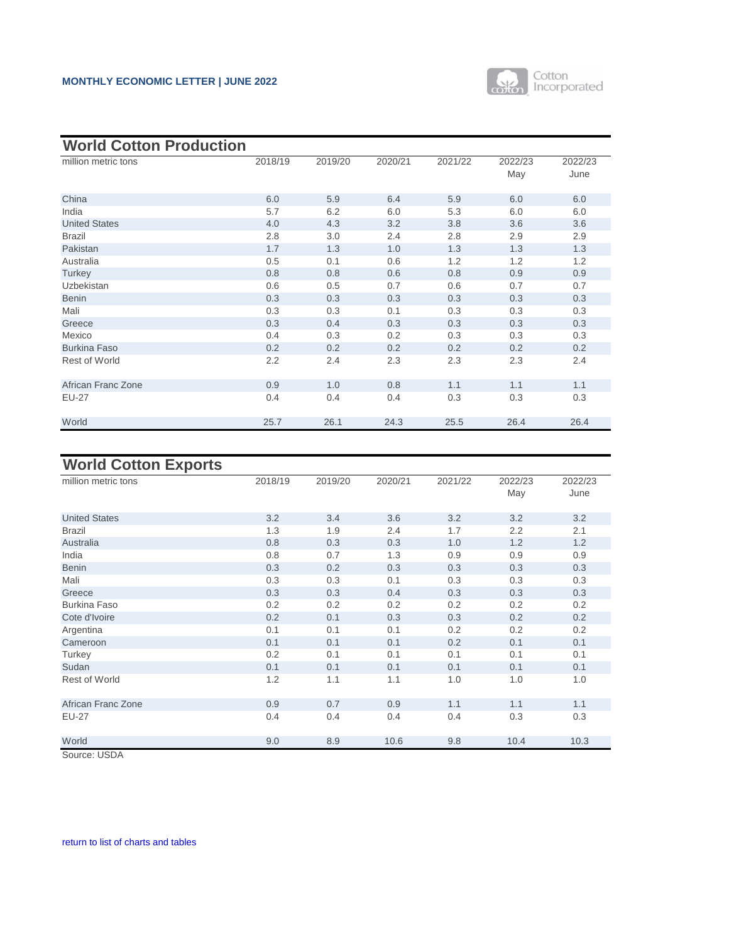

<span id="page-12-0"></span>

| <b>World Cotton Production</b> |         |         |         |         |         |         |
|--------------------------------|---------|---------|---------|---------|---------|---------|
| million metric tons            | 2018/19 | 2019/20 | 2020/21 | 2021/22 | 2022/23 | 2022/23 |
|                                |         |         |         |         | May     | June    |
| China                          | 6.0     | 5.9     | 6.4     | 5.9     | 6.0     | 6.0     |
| India                          | 5.7     | 6.2     | 6.0     | 5.3     | 6.0     | 6.0     |
| <b>United States</b>           | 4.0     | 4.3     | 3.2     | 3.8     | 3.6     | 3.6     |
| <b>Brazil</b>                  | 2.8     | 3.0     | 2.4     | 2.8     | 2.9     | 2.9     |
| Pakistan                       | 1.7     | 1.3     | 1.0     | 1.3     | 1.3     | 1.3     |
| Australia                      | 0.5     | 0.1     | 0.6     | 1.2     | 1.2     | 1.2     |
| <b>Turkey</b>                  | 0.8     | 0.8     | 0.6     | 0.8     | 0.9     | 0.9     |
| <b>Uzbekistan</b>              | 0.6     | 0.5     | 0.7     | 0.6     | 0.7     | 0.7     |
| <b>Benin</b>                   | 0.3     | 0.3     | 0.3     | 0.3     | 0.3     | 0.3     |
| Mali                           | 0.3     | 0.3     | 0.1     | 0.3     | 0.3     | 0.3     |
| Greece                         | 0.3     | 0.4     | 0.3     | 0.3     | 0.3     | 0.3     |
| Mexico                         | 0.4     | 0.3     | 0.2     | 0.3     | 0.3     | 0.3     |
| <b>Burkina Faso</b>            | 0.2     | 0.2     | 0.2     | 0.2     | 0.2     | 0.2     |
| <b>Rest of World</b>           | 2.2     | 2.4     | 2.3     | 2.3     | 2.3     | 2.4     |
| <b>African Franc Zone</b>      | 0.9     | 1.0     | 0.8     | 1.1     | 1.1     | 1.1     |
| <b>EU-27</b>                   | 0.4     | 0.4     | 0.4     | 0.3     | 0.3     | 0.3     |
| World                          | 25.7    | 26.1    | 24.3    | 25.5    | 26.4    | 26.4    |

# **World Cotton Exports**

| -p - - - -<br>million metric tons | 2018/19 | 2019/20 | 2020/21 | 2021/22 | 2022/23 | 2022/23 |
|-----------------------------------|---------|---------|---------|---------|---------|---------|
|                                   |         |         |         |         | May     | June    |
|                                   |         |         |         |         |         |         |
| <b>United States</b>              | 3.2     | 3.4     | 3.6     | 3.2     | 3.2     | 3.2     |
| <b>Brazil</b>                     | 1.3     | 1.9     | 2.4     | 1.7     | 2.2     | 2.1     |
| Australia                         | 0.8     | 0.3     | 0.3     | 1.0     | 1.2     | 1.2     |
| India                             | 0.8     | 0.7     | 1.3     | 0.9     | 0.9     | 0.9     |
| <b>Benin</b>                      | 0.3     | 0.2     | 0.3     | 0.3     | 0.3     | 0.3     |
| Mali                              | 0.3     | 0.3     | 0.1     | 0.3     | 0.3     | 0.3     |
| Greece                            | 0.3     | 0.3     | 0.4     | 0.3     | 0.3     | 0.3     |
| <b>Burkina Faso</b>               | 0.2     | 0.2     | 0.2     | 0.2     | 0.2     | 0.2     |
| Cote d'Ivoire                     | 0.2     | 0.1     | 0.3     | 0.3     | 0.2     | 0.2     |
| Argentina                         | 0.1     | 0.1     | 0.1     | 0.2     | 0.2     | 0.2     |
| Cameroon                          | 0.1     | 0.1     | 0.1     | 0.2     | 0.1     | 0.1     |
| Turkey                            | 0.2     | 0.1     | 0.1     | 0.1     | 0.1     | 0.1     |
| Sudan                             | 0.1     | 0.1     | 0.1     | 0.1     | 0.1     | 0.1     |
| <b>Rest of World</b>              | 1.2     | 1.1     | 1.1     | 1.0     | 1.0     | 1.0     |
|                                   |         |         |         |         |         |         |
| <b>African Franc Zone</b>         | 0.9     | 0.7     | 0.9     | 1.1     | 1.1     | 1.1     |
| <b>EU-27</b>                      | 0.4     | 0.4     | 0.4     | 0.4     | 0.3     | 0.3     |
|                                   |         |         |         |         |         |         |
| World                             | 9.0     | 8.9     | 10.6    | 9.8     | 10.4    | 10.3    |
|                                   |         |         |         |         |         |         |